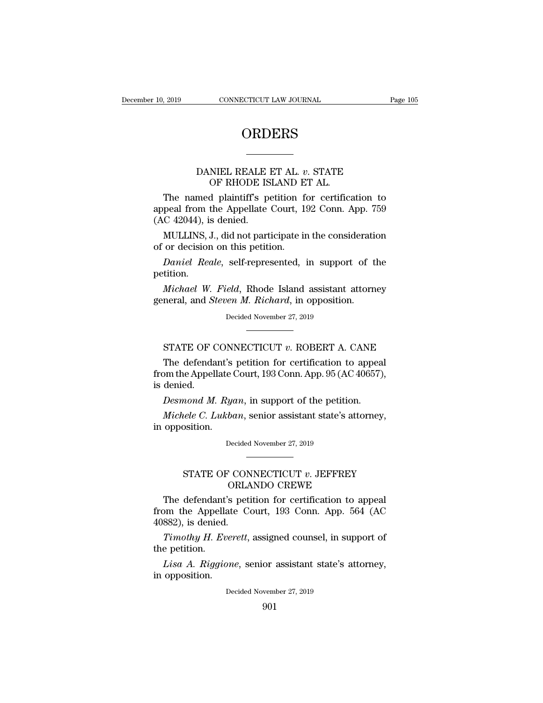### **ORDERS**

## CONNECTICUT LAW JOURNAL<br>
DRDERS<br>
ORDERS<br>
DANIEL REALE ET AL. *v*. STATE<br>
OF RHODE ISLAND ET AL. ORDERS<br>
——<br>
NIEL REALE ET AL. v. STATE<br>
OF RHODE ISLAND ET AL.<br>
d plaintiff's petition for certific:

ORDERS<br>
DANIEL REALE ET AL. v. STATE<br>
OF RHODE ISLAND ET AL.<br>
The named plaintiff's petition for certification to<br>
peal from the Appellate Court, 192 Conn. App. 759<br>
C 42044) is denied DANIEL REALE ET AL. v. STATE<br>
OF RHODE ISLAND ET AL.<br>
The named plaintiff's petition for certification to<br>
appeal from the Appellate Court, 192 Conn. App. 759<br>
(AC 42044), is denied. DANIEL REALE<br>OF RHODE IS<br>The named plaintiff's p<br>appeal from the Appellate<br>(AC 42044), is denied.<br>MULLINS, J., did not part DANIEL REALE ET AL. *v*. STATE<br>
OF RHODE ISLAND ET AL.<br>
The named plaintiff's petition for certification to<br>
peal from the Appellate Court, 192 Conn. App. 759<br>
C 42044), is denied.<br>
MULLINS, J., did not participate in the of RHODE ISLAND E<br>
of RHODE ISLAND E<br>
The named plaintiff's petition f<br>
appeal from the Appellate Court, 1:<br>
(AC 42044), is denied.<br>
MULLINS, J., did not participate in<br>
of or decision on this petition.<br>
Daniel Reale, self The named plaintiff's petition for certification to<br>peal from the Appellate Court, 192 Conn. App. 759<br>*C* 42044), is denied.<br>MULLINS, J., did not participate in the consideration<br>or decision on this petition.<br>*Daniel Reale* 

petition.

*C* 42044), is denied.<br>*MULLINS*, J., did not participate in the consideration<br>or decision on this petition.<br>*Daniel Reale*, self-represented, in support of the<br>tition.<br>*Michael W. Field*, Rhode Island assistant attorney<br>n MULLINS, J., did not participate in the consideration<br>of or decision on this petition.<br>Daniel Reale, self-represented, in support of t<br>petition.<br>*Michael W. Field*, Rhode Island assistant attorn<br>general, and *Steven M. Ric* Daniel Reale, self-represented, in support of the petition.<br>
Michael W. Field, Rhode Island assistant attorney<br>
general, and *Steven M. Richard*, in opposition.<br>
Decided November 27, 2019 Michael W. Field, Rhode Island assistant attorney<br>neral, and *Steven M. Richard*, in opposition.<br>Decided November 27, 2019<br>STATE OF CONNECTICUT *v*. ROBERT A. CANE<br>The defendant's petition for certification to appeal

Michael W. Field, Khode Island assistant attorney<br>neral, and *Steven M. Richard*, in opposition.<br>Decided November 27, 2019<br>STATE OF CONNECTICUT  $v$ . ROBERT A. CANE<br>The defendant's petition for certification to appeal<br>pm t general, and *steven M. Ktchard*, In opposition.<br>Decided November 27, 2019<br>
FRATE OF CONNECTICUT v. ROBERT A. CANE<br>
The defendant's petition for certification to appeal<br>
from the Appellate Court, 193 Conn. App. 95 (AC 4065 STATE OF C<br>The defenda<br>from the Appel<br>is denied.<br>Desmond M. **STATE OF CONNECTICUT v. ROBERT A. CANE**<br>The defendant's petition for certification to appea<br>pm the Appellate Court, 193 Conn. App. 95 (AC 40657)<br>denied.<br>*Desmond M. Ryan*, in support of the petition.<br>*Michele C. Lukban*, STATE OF CONNECTICUT *v*. ROBERT A. CANE<br>The defendant's petition for certification to appeal<br>pm the Appellate Court, 193 Conn. App. 95 (AC 40657),<br>denied.<br>*Desmond M. Ryan*, in support of the petition.<br>*Michele C. Lukban* The defendant's<br>from the Appellate<br>is denied.<br>*Desmond M. Rye<br>Michele C. Lukbo*<br>in opposition.

Desmond M. Ryan, in support of the petition.<br>Michele C. Lukban, senior assistant state's attorney,<br>opposition.<br>Decided November 27, 2019 North M. Kyan, in support of the petition.<br>
eele C. Lukban, senior assistant state's attorney,<br>
Decided November 27, 2019<br>
STATE OF CONNECTICUT *v*. JEFFREY<br>
ORLANDO CREWE *ban*, senior assistant state's attorn<br>
Decided November 27, 2019<br>
November 27, 2019<br>
November 27, 2019<br>
CONNECTICUT v. JEFFREY<br>
ORLANDO CREWE<br>
Septition for certification to app

opposition.<br>
Decided November 27, 2019<br>
The defendant's petition for certification to appeal<br>
om the Appellate Court, 193 Conn. App. 564 (AC<br>
S82) is denied Decided November 27, 2019<br>
FRATE OF CONNECTICUT v. JEFFREY<br>
ORLANDO CREWE<br>
The defendant's petition for certification to appeal<br>
from the Appellate Court, 193 Conn. App. 564 (AC<br>
40882), is denied. -<br>
STATE OF CON<br>
ORLA<br>
The defendant's pet<br>
from the Appellate C<br>
40882), is denied.<br>
Timothy H. Everett, *STATE OF CONNECTICUT v. JEFFREY*<br> *ORLANDO CREWE*<br> *The defendant's petition for certification to appeal*<br> *Timothy H. Everett*, assigned counsel, in support of<br> *Pimothy H. Everett*, assigned counsel, in support of<br> *E* The defendant<br>from the Appella<br>40882), is denied.<br>*Timothy H. Ev*<br>the petition.<br>*Lisa A. Riggio* The defendant's petition for certification to appeal<br>
2000 m the Appellate Court, 193 Conn. App. 564 (AC<br>
882), is denied.<br> *Timothy H. Everett*, assigned counsel, in support of<br>
e petition.<br> *Lisa A. Riggione*, senior ass From the Appellate<br>from the Appellate<br>40882), is denied.<br>*Timothy H. Even*<br>the petition.<br>*Lisa A. Riggion*<br>in opposition.

Timothy H. Everett, assigned counsel, in support of<br>e petition.<br>Lisa A. Riggione, senior assistant state's attorney,<br>opposition.<br>Decided November 27, 2019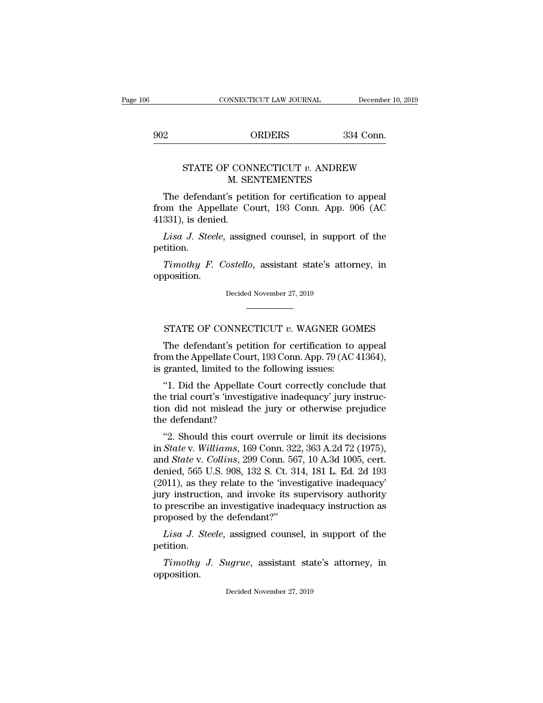# CONNECTICUT LAW JOURNAL December 10, 20<br>902 ORDERS 334 Conn.

## CONNECTICUT LAW JOURNAL December 10, 2019<br>
ORDERS 334 Conn.<br>
STATE OF CONNECTICUT *v*. ANDREW M. SENTEMENTES ORDERS 334<br>
M. SENTEMENTES<br>
Section for certification to a<br>
Section for certification to a<br>
Section for certification to a<br>
Section for certification to a<br>
Section for certification to a<br>
Section for certification to a<br>
Se

ORDERS 334 Conn.<br>
STATE OF CONNECTICUT *v*. ANDREW<br>
M. SENTEMENTES<br>
The defendant's petition for certification to appeal<br>
om the Appellate Court, 193 Conn. App. 906 (AC FROM STATE OF CONNECTICUT  $v$ . ANDREW<br>
M. SENTEMENTES<br>
The defendant's petition for certification to appeal<br>
from the Appellate Court, 193 Conn. App. 906 (AC<br>
41331), is denied. STATE OF CONNECTICUT  $v$ . ANDREW<br>
M. SENTEMENTES<br>
The defendant's petition for certification to appeal<br>
from the Appellate Court, 193 Conn. App. 906 (AC<br>
41331), is denied.<br> *Lisa J. Steele*, assigned counsel, in support FIATE OF CONNECTICUT *v*. ANDREW<br> *M.* SENTEMENTES<br>
The defendant's petition for certification to appeal<br>
om the Appellate Court, 193 Conn. App. 906 (AC<br>
331), is denied.<br> *Lisa J. Steele*, assigned counsel, in support of The defendant's petition for certification to appeal<br>
pm the Appellate Court, 193 Conn. App. 906 (AC<br>
331), is denied.<br> *Lisa J. Steele*, assigned counsel, in support of the<br>
tition.<br> *Timothy F. Costello*, assistant state

petition.

opposition. Timothy F. Costello, assistant state's attorney, in prosition.<br>Decided November 27, 2019 Timothy F. Costello, assistant state's attorney, in<br>position.<br>Decided November 27, 2019<br>STATE OF CONNECTICUT *v*. WAGNER GOMES<br>The defendant's petition for certification to appeal

position.<br>Decided November 27, 2019<br>TATE OF CONNECTICUT  $v$ . WAGNER GOMES<br>The defendant's petition for certification to appeal<br>pm the Appellate Court, 193 Conn. App. 79 (AC 41364),<br>granted limited to the following issues: from the Appellate Court, 193 Conn. App. 79 (AC 41364), STATE OF CONNECTICUT  $v$ . WAGNER GO.<br>The defendant's petition for certification to<br>from the Appellate Court, 193 Conn. App. 79 (AC is granted, limited to the following issues:<br>"1. Did the Appellate Court correctly conclu STATE OF CONNECTICUT  $v$ . WAGNER GOMES<br>
The defendant's petition for certification to appeal<br>
om the Appellate Court, 193 Conn. App. 79 (AC 41364),<br>
granted, limited to the following issues:<br>
"1. Did the Appellate Court c

STATE OF CONNECTICUT  $v$ . WAGNER GOMES<br>The defendant's petition for certification to appeal<br>from the Appellate Court, 193 Conn. App. 79 (AC 41364),<br>is granted, limited to the following issues:<br>"1. Did the Appellate Court The defendant's petition for certification to appeal<br>from the Appellate Court, 193 Conn. App. 79 (AC 41364),<br>is granted, limited to the following issues:<br>"1. Did the Appellate Court correctly conclude that<br>the trial court' The defendant's petit<br>from the Appellate Court<br>is granted, limited to the<br>"1. Did the Appellate<br>the trial court's 'investig<br>tion did not mislead th<br>the defendant?<br>"2. Should this court granted, limited to the following issues:<br>
"1. Did the Appellate Court correctly conclude that<br>
e trial court's 'investigative inadequacy' jury instruc-<br>
on did not mislead the jury or otherwise prejudice<br>
e defendant?<br>
"2 <sup>4</sup>1. Did the Appellate Court correctly conclude that<br>the trial court's 'investigative inadequacy' jury instruc-<br>tion did not mislead the jury or otherwise prejudice<br>the defendant?<br><sup>42</sup>. Should this court overrule or limit

1. Did the Appenate Court correctly conclude that<br>the trial court's 'investigative inadequacy' jury instruc-<br>tion did not mislead the jury or otherwise prejudice<br>the defendant?<br>"2. Should this court overrule or limit its d denied and the survey is also allows the defendant?<br>tion did not mislead the jury or otherwise prejudice<br>the defendant?<br>"2. Should this court overrule or limit its decisions<br>in *State* v. *Williams*, 169 Conn. 322, 363 A.2 (2011), as they relate to the 'investigative independent and State v. Williams, 169 Conn. 322, 363 A.2d 72 (1975), and State v. Collins, 299 Conn. 567, 10 A.3d 1005, cert. denied, 565 U.S. 908, 132 S. Ct. 314, 181 L. Ed. "2. Should this court overrule or limit its decisions<br>in *State v. Williams*, 169 Conn. 322, 363 A.2d 72 (1975),<br>and *State v. Collins*, 299 Conn. 567, 10 A.3d 1005, cert.<br>denied, 565 U.S. 908, 132 S. Ct. 314, 181 L. Ed. "2. Should this court overrule or limit its decisions<br>in *State* v. Williams, 169 Conn. 322, 363 A.2d 72 (1975),<br>and *State* v. Collins, 299 Conn. 567, 10 A.3d 1005, cert.<br>denied, 565 U.S. 908, 132 S. Ct. 314, 181 L. Ed. in State v. Williams, 169 Conn. 32:<br>
and State v. Collins, 299 Conn. 56<br>
denied, 565 U.S. 908, 132 S. Ct. 3:<br>
(2011), as they relate to the 'inve-<br>
jury instruction, and invoke its s<br>
to prescribe an investigative inade<br> *Lisa J. Steele*, assigned counsel, in support of the time-<br>*Lisa J. Steele*, and invoke its supervisory authority<br>prescribe an investigative inadequacy authority<br>prescribe an investigative inadequacy instruction as<br>oposed *The instruction, and invoke its supervisory authority*<br>prescribe an investigative inadequacy instruction as<br>oposed by the defendant?"<br>*Lisa J. Steele*, assigned counsel, in support of the<br>itiion.<br>*Timothy J. Sugrue*, assi

petition.

opposition. Timothy J. Sugrue, assistant state's attorney, in position.<br>Decided November 27, 2019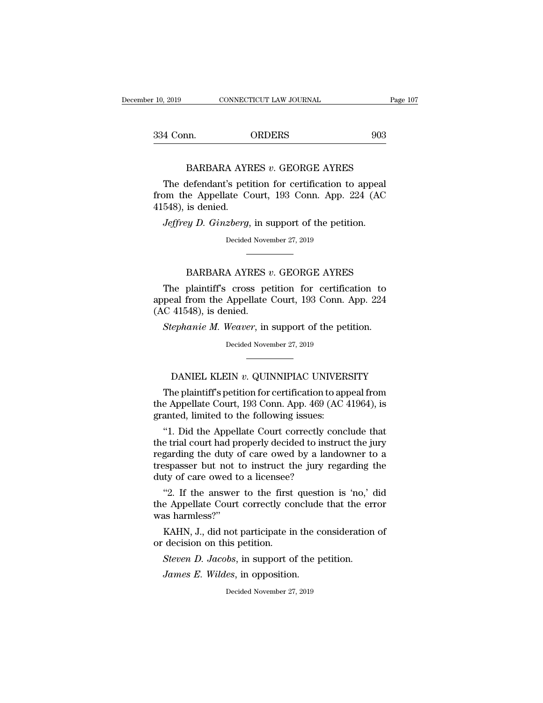| 10, 2019                                                                                 | CONNECTICUT LAW JOURNAL | Page 107 |
|------------------------------------------------------------------------------------------|-------------------------|----------|
|                                                                                          |                         |          |
| 334 Conn.                                                                                | <b>ORDERS</b>           | 903      |
| BARBARA AYRES $v$ . GEORGE AYRES<br>The defendant's petition for certification to appeal |                         |          |

4 Conn. ORDERS 903<br>
BARBARA AYRES v. GEORGE AYRES<br>
The defendant's petition for certification to appeal<br>
pm the Appellate Court, 193 Conn. App. 224 (AC From the Appellate Court, 193 Conn. App. 224 (AC 41548), is denied. 334 Conn.<br>BARBARA AYI<br>The defendant's pet<br>from the Appellate C<br>41548), is denied.<br>Jeffrey D. Ginzberg, *BARBARA AYRES v. GEORGE AYRES*<br>The defendant's petition for certification to appeal<br>pm the Appellate Court, 193 Conn. App. 224 (AC<br>548), is denied.<br>*Jeffrey D. Ginzberg*, in support of the petition.<br>Decided November 27, 2 Expediator For externements.<br>
ate Court, 193 Conn. App.<br>
<br>
2berg, in support of the peti<br>
Decided November 27, 2019 is denied.<br> *is denied.*<br> *vy D. Ginzberg*, in support of the petition.<br>
Decided November 27, 2019<br> **BARBARA AYRES** *v.* **GEORGE AYRES**<br>
plaintiff's cross petition for certification to

Jeffrey D. Ginzberg, in support of the petition.<br>
Decided November 27, 2019<br> **EXARBARA AYRES v. GEORGE AYRES**<br>
The plaintiff's cross petition for certification to<br>
peal from the Appellate Court, 193 Conn. App. 224<br>
C. 4154 BARBARA AYRES v. GEORGE AYRES<br>The plaintiff's cross petition for certification to<br>appeal from the Appellate Court, 193 Conn. App. 224<br>(AC 41548), is denied. Decided Nove<br>
Machine BARBARA AYRES<br>
The plaintiff's cross per<br>
appeal from the Appellate<br>
(AC 41548), is denied.<br>
Stephanie M. Weaver, in **STEPHAN STEP 3 CONGE AYRES**<br>The plaintiff's cross petition for certification to<br>peal from the Appellate Court, 193 Conn. App. 224<br>C 41548), is denied.<br>*Stephanie M. Weaver*, in support of the petition.<br>Decided November 27 The plaintiff's cross petition for certification to<br>appeal from the Appellate Court, 193 Conn. App. 224<br>(AC 41548), is denied.<br>*Stephanie M. Weaver*, in support of the petition.<br>Decided November 27, 2019 For the state of the petition.<br>
Fightanic *M. Weaver*, in support of the petition.<br>
Decided November 27, 2019<br>
DANIEL KLEIN *v*. QUINNIPIAC UNIVERSITY<br>
The plaintiff's petition for certification to appeal from

Stephanie M. Weaver, in support of the petition.<br>Decided November 27, 2019<br>DANIEL KLEIN v. QUINNIPIAC UNIVERSITY<br>The plaintiff's petition for certification to appeal from<br>e Appellate Court, 193 Conn. App. 469 (AC 41964), i Decided November 27, 2019<br>DANIEL KLEIN v. QUINNIPIAC UNIVERSITY<br>The plaintiff's petition for certification to appeal from<br>the Appellate Court, 193 Conn. App. 469 (AC 41964), is<br>granted, limited to the following issues: DANIEL KLEIN v. QUINNIPIAC UNIVER<br>The plaintiff's petition for certification to ap<br>the Appellate Court, 193 Conn. App. 469 (AC<br>granted, limited to the following issues:<br>"1. Did the Appellate Court correctly conc DANIEL KLEIN  $v$ . QUINNIPIAC UNIVERSITY<br>
The plaintiff's petition for certification to appeal from<br>
e Appellate Court, 193 Conn. App. 469 (AC 41964), is<br>
anted, limited to the following issues:<br>
"1. Did the Appellate Cour

DANIEL KLEIN  $v$ . QUINNIPIAC UNIVERSITY<br>The plaintiff's petition for certification to appeal from<br>the Appellate Court, 193 Conn. App. 469 (AC 41964), is<br>granted, limited to the following issues:<br>"1. Did the Appellate Cour The plaintiff's petition for certification to appeal from<br>the Appellate Court, 193 Conn. App. 469 (AC 41964), is<br>granted, limited to the following issues:<br>"1. Did the Appellate Court correctly conclude that<br>the trial court The plaintiff spettion for certification to appear from<br>the Appellate Court, 193 Conn. App. 469 (AC 41964), is<br>granted, limited to the following issues:<br>"1. Did the Appellate Court correctly conclude that<br>the trial court h the Appenate Court, 193 Conn. App. 409 (*A* granted, limited to the following issues:<br>"1. Did the Appellate Court correctly content that properly decided to instregarding the duty of care owed by a lan trespasser but not t "1. Did the Appellate Court correctly conclude that<br>e trial court had properly decided to instruct the jury<br>garding the duty of care owed by a landowner to a<br>sepasser but not to instruct the jury regarding the<br>ty of care o 1. Did the Appellate Court correctly conclude that<br>the trial court had properly decided to instruct the jury<br>regarding the duty of care owed by a landowner to a<br>trespasser but not to instruct the jury regarding the<br>duty of the trial court had pregarding the duty of<br>trespasser but not the duty of care owed to<br>"2. If the answer<br>the Appellate Court<br>was harmless?"<br>KAHN, J., did not

Supering the sepasser but not to instruct the jury regarding the ty of care owed to a licensee?<br>"2. If the answer to the first question is 'no,' dide Appellate Court correctly conclude that the error as harmless?"<br>KAHN, J. duty of care owed to a licensee?<br>
"2. If the answer to the first<br>
the Appellate Court correctly co<br>
was harmless?"<br>
KAHN, J., did not participate ir<br>
or decision on this petition.<br>
Steven D. Jacobs, in support o <sup>42</sup>. If the answer to the first question is 'no,' did the Appellate Court correctly conclude that the error was harmless?"<br>KAHN, J., did not participate in the consideration of or decision on this petition.<br>*Steven D. Jac* e Appellate Court correctly conclude<br>*James E.* Wildem to the contraction.<br>*Jacobs*, in support of the p<br>*James E. Wildes*, in opposition.<br>*Decided November 27, 2019* 

Steven D. Jacobs, in support of the petition.<br>James E. Wildes, in opposition.<br>Decided November 27, 2019